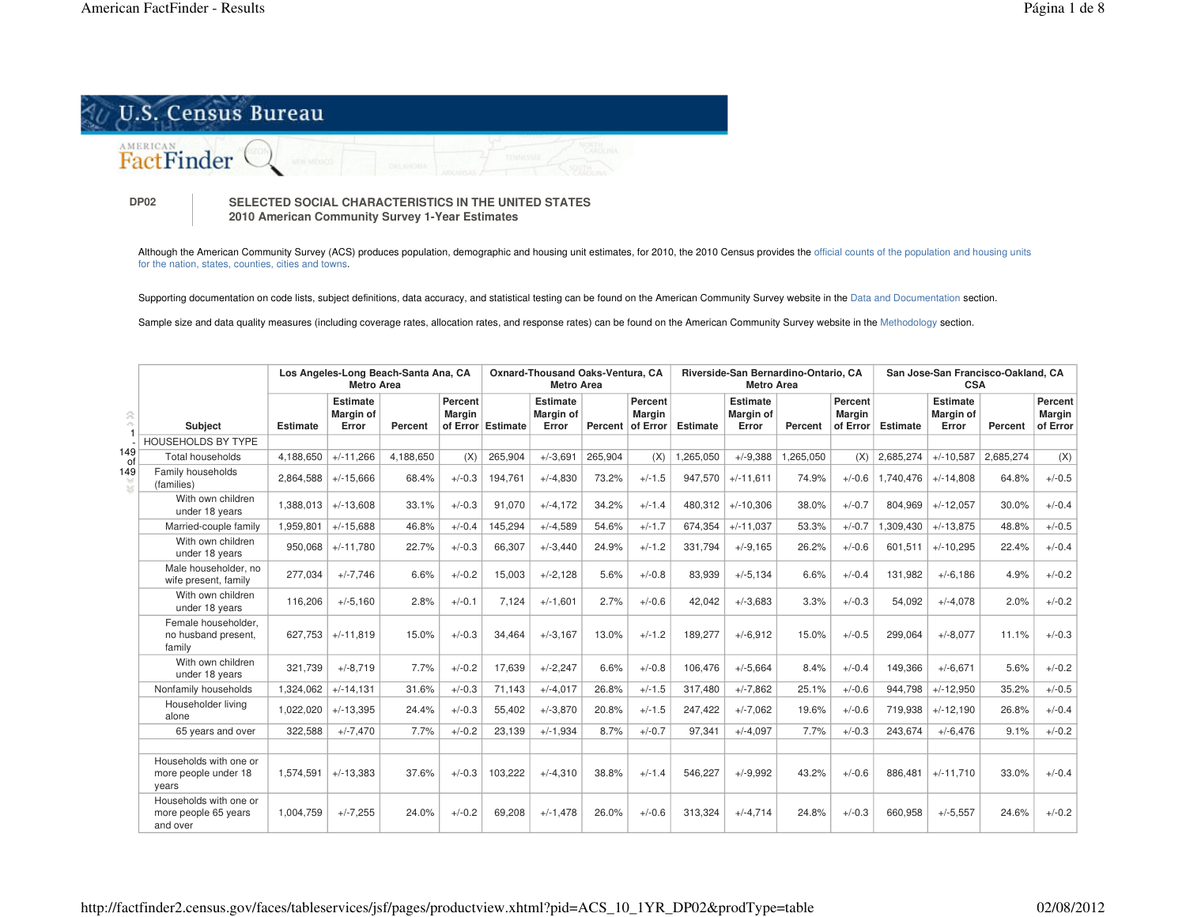

**DP02**

 **SELECTED SOCIAL CHARACTERISTICS IN THE UNITED STATES 2010 American Community Survey 1-Year Estimates**

Although the American Community Survey (ACS) produces population, demographic and housing unit estimates, for 2010, the 2010 Census provides the official counts of the population and housing units for the nation, states, counties, cities and towns.

Supporting documentation on code lists, subject definitions, data accuracy, and statistical testing can be found on the American Community Survey website in the Data and Documentation section.

Sample size and data quality measures (including coverage rates, allocation rates, and response rates) can be found on the American Community Survey website in the Methodology section.

|                            |                                                            |                 | Los Angeles-Long Beach-Santa Ana, CA<br><b>Metro Area</b> | Oxnard-Thousand Oaks-Ventura, CA<br><b>Metro Area</b> |                          |                   |                                |         | Riverside-San Bernardino-Ontario, CA<br><b>Metro Area</b> |                 |                                       | San Jose-San Francisco-Oakland, CA<br><b>CSA</b> |                               |                 |                                       |           |                                      |
|----------------------------|------------------------------------------------------------|-----------------|-----------------------------------------------------------|-------------------------------------------------------|--------------------------|-------------------|--------------------------------|---------|-----------------------------------------------------------|-----------------|---------------------------------------|--------------------------------------------------|-------------------------------|-----------------|---------------------------------------|-----------|--------------------------------------|
| 会<br>$\mathcal{L}^{(0)}$ . | <b>Subject</b>                                             | <b>Estimate</b> | Estimate<br><b>Margin of</b><br>Error                     | Percent                                               | Percent<br><b>Margin</b> | of Error Estimate | Estimate<br>Margin of<br>Error |         | Percent<br><b>Margin</b><br>Percent of Error              | <b>Estimate</b> | Estimate<br><b>Margin of</b><br>Error | Percent                                          | Percent<br>Margin<br>of Error | <b>Estimate</b> | Estimate<br><b>Margin of</b><br>Error | Percent   | Percent<br><b>Margin</b><br>of Error |
|                            | HOUSEHOLDS BY TYPE                                         |                 |                                                           |                                                       |                          |                   |                                |         |                                                           |                 |                                       |                                                  |                               |                 |                                       |           |                                      |
| 149<br>0f                  | <b>Total households</b>                                    | 4.188.650       | $+/-11.266$                                               | 4.188.650                                             | (X)                      | 265,904           | $+/-3,691$                     | 265,904 | (X)                                                       | 1,265,050       | $+/-9.388$                            | 1,265,050                                        | (X)                           | 2,685,274       | $+/-10,587$                           | 2.685.274 | (X)                                  |
| 149                        | Family households<br>(families)                            | 2,864,588       | $+/-15,666$                                               | 68.4%                                                 | $+/-0.3$                 | 194,761           | $+/-4,830$                     | 73.2%   | $+/-1.5$                                                  | 947,570         | $+/-11.611$                           | 74.9%                                            | $+/-0.6$                      | 1,740,476       | $+/-14.808$                           | 64.8%     | $+/-0.5$                             |
|                            | With own children<br>under 18 years                        | 1.388.013       | $+/-13.608$                                               | 33.1%                                                 | $+/-0.3$                 | 91,070            | $+/-4,172$                     | 34.2%   | $+/-1.4$                                                  | 480.312         | $+/-10.306$                           | 38.0%                                            | $+/-0.7$                      | 804.969         | $+/-12.057$                           | 30.0%     | $+/-0.4$                             |
|                            | Married-couple family                                      | 1,959,801       | $+/-15,688$                                               | 46.8%                                                 | $+/-0.4$                 | 145,294           | $+/-4,589$                     | 54.6%   | $+/-1.7$                                                  | 674,354         | $+/-11.037$                           | 53.3%                                            | $+/-0.7$                      | ,309,430        | $+/-13.875$                           | 48.8%     | $+/-0.5$                             |
|                            | With own children<br>under 18 years                        | 950,068         | $+/-11.780$                                               | 22.7%                                                 | $+/-0.3$                 | 66,307            | $+/-3,440$                     | 24.9%   | $+/-1.2$                                                  | 331,794         | $+/-9.165$                            | 26.2%                                            | $+/-0.6$                      | 601,511         | $+/-10,295$                           | 22.4%     | $+/-0.4$                             |
|                            | Male householder, no<br>wife present, family               | 277,034         | $+/-7.746$                                                | 6.6%                                                  | $+/-0.2$                 | 15,003            | $+/-2,128$                     | 5.6%    | $+/-0.8$                                                  | 83,939          | $+/-5.134$                            | 6.6%                                             | $+/-0.4$                      | 131.982         | $+/-6.186$                            | 4.9%      | $+/-0.2$                             |
|                            | With own children<br>under 18 years                        | 116,206         | $+/-5,160$                                                | 2.8%                                                  | $+/-0.1$                 | 7,124             | $+/-1,601$                     | 2.7%    | $+/-0.6$                                                  | 42,042          | $+/-3.683$                            | 3.3%                                             | $+/-0.3$                      | 54,092          | $+/-4,078$                            | 2.0%      | $+/-0.2$                             |
|                            | Female householder.<br>no husband present.<br>family       | 627.753         | $+/-11.819$                                               | 15.0%                                                 | $+/-0.3$                 | 34.464            | $+/-3.167$                     | 13.0%   | $+/-1.2$                                                  | 189.277         | $+/-6.912$                            | 15.0%                                            | $+/-0.5$                      | 299.064         | $+/-8.077$                            | 11.1%     | $+/-0.3$                             |
|                            | With own children<br>under 18 years                        | 321.739         | $+/-8.719$                                                | 7.7%                                                  | $+/-0.2$                 | 17,639            | $+/-2.247$                     | 6.6%    | $+/-0.8$                                                  | 106.476         | $+/-5,664$                            | 8.4%                                             | $+/-0.4$                      | 149,366         | $+/-6.671$                            | 5.6%      | $+/-0.2$                             |
|                            | Nonfamily households                                       | 1,324,062       | $+/-14.131$                                               | 31.6%                                                 | $+/-0.3$                 | 71,143            | $+/-4,017$                     | 26.8%   | $+/-1.5$                                                  | 317.480         | $+/-7,862$                            | 25.1%                                            | $+/-0.6$                      | 944.798         | $+/-12,950$                           | 35.2%     | $+/-0.5$                             |
|                            | Householder living<br>alone                                | 1,022,020       | $+/-13,395$                                               | 24.4%                                                 | $+/-0.3$                 | 55,402            | $+/-3.870$                     | 20.8%   | $+/-1.5$                                                  | 247,422         | $+/-7,062$                            | 19.6%                                            | $+/-0.6$                      | 719,938         | $+/-12,190$                           | 26.8%     | $+/-0.4$                             |
|                            | 65 years and over                                          | 322,588         | $+/-7,470$                                                | 7.7%                                                  | $+/-0.2$                 | 23,139            | $+/-1,934$                     | 8.7%    | $+/-0.7$                                                  | 97,341          | $+/-4,097$                            | 7.7%                                             | $+/-0.3$                      | 243,674         | $+/-6.476$                            | 9.1%      | $+/-0.2$                             |
|                            | Households with one or<br>more people under 18<br>years    | 1,574,591       | $+/-13,383$                                               | 37.6%                                                 | $+/-0.3$                 | 103,222           | $+/-4,310$                     | 38.8%   | $+/-1.4$                                                  | 546,227         | $+/-9.992$                            | 43.2%                                            | $+/-0.6$                      | 886,481         | $+/-11.710$                           | 33.0%     | $+/-0.4$                             |
|                            | Households with one or<br>more people 65 years<br>and over | 1,004,759       | $+/-7.255$                                                | 24.0%                                                 | $+/-0.2$                 | 69,208            | $+/-1.478$                     | 26.0%   | $+/-0.6$                                                  | 313.324         | $+/-4.714$                            | 24.8%                                            | $+/-0.3$                      | 660.958         | $+/-5.557$                            | 24.6%     | $+/-0.2$                             |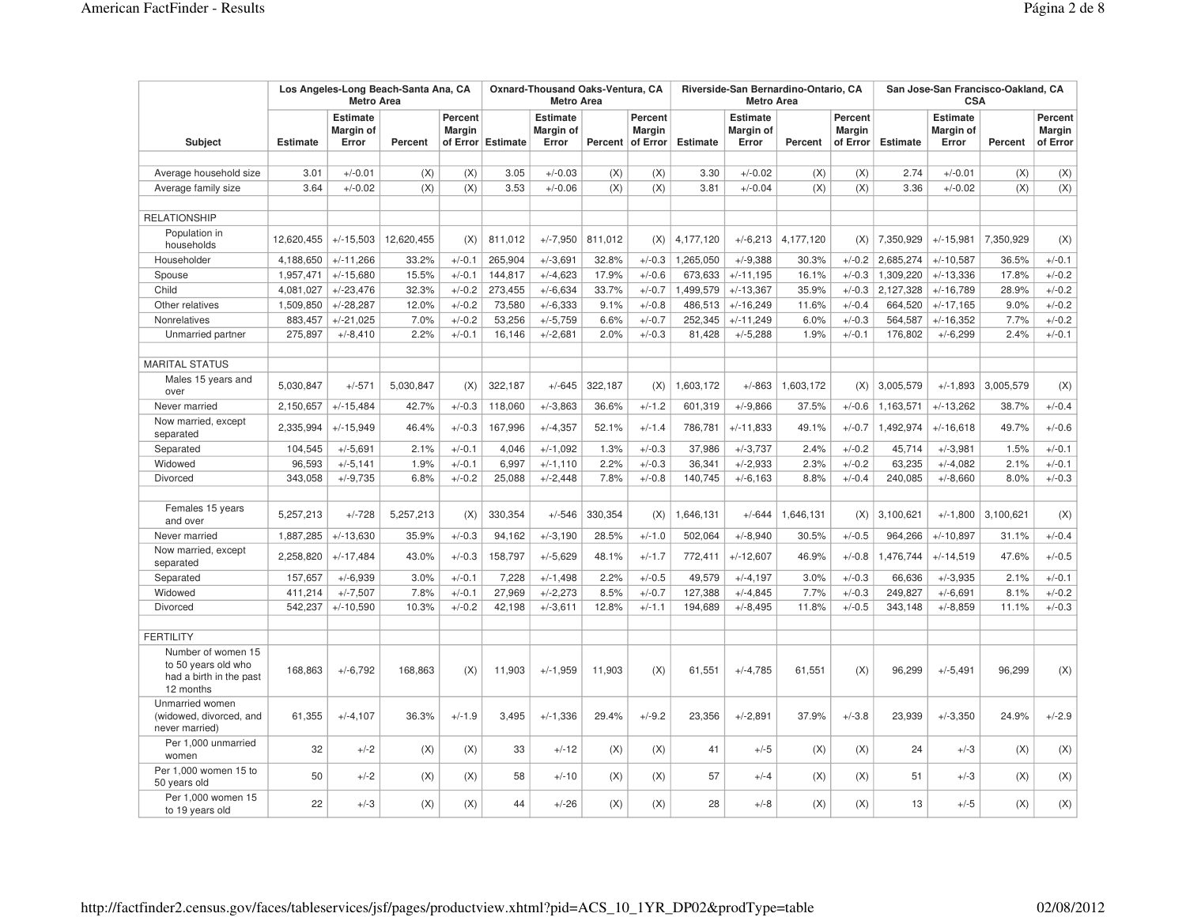|                                                                                   |                 | Los Angeles-Long Beach-Santa Ana, CA<br><b>Metro Area</b> |            | Oxnard-Thousand Oaks-Ventura, CA<br><b>Metro Area</b> |                   |                                       |         | Riverside-San Bernardino-Ontario, CA<br><b>Metro Area</b> |                 |                                              | San Jose-San Francisco-Oakland, CA<br><b>CSA</b> |                               |           |                                              |           |                                      |
|-----------------------------------------------------------------------------------|-----------------|-----------------------------------------------------------|------------|-------------------------------------------------------|-------------------|---------------------------------------|---------|-----------------------------------------------------------|-----------------|----------------------------------------------|--------------------------------------------------|-------------------------------|-----------|----------------------------------------------|-----------|--------------------------------------|
| Subject                                                                           | <b>Estimate</b> | <b>Estimate</b><br>Margin of<br>Error                     | Percent    | Percent<br><b>Margin</b>                              | of Error Estimate | <b>Estimate</b><br>Margin of<br>Error |         | Percent<br><b>Margin</b><br>Percent of Error              | <b>Estimate</b> | <b>Estimate</b><br><b>Margin of</b><br>Error | Percent                                          | Percent<br>Margin<br>of Error | Estimate  | <b>Estimate</b><br><b>Margin of</b><br>Error | Percent   | Percent<br><b>Margin</b><br>of Error |
|                                                                                   |                 |                                                           |            |                                                       |                   |                                       |         |                                                           |                 |                                              |                                                  |                               |           |                                              |           |                                      |
| Average household size                                                            | 3.01            | $+/-0.01$                                                 | (X)        | (X)                                                   | 3.05              | $+/-0.03$                             | (X)     | (X)                                                       | 3.30            | $+/-0.02$                                    | (X)                                              | (X)                           | 2.74      | $+/-0.01$                                    | (X)       | (X)                                  |
| Average family size                                                               | 3.64            | $+/-0.02$                                                 | (X)        | (X)                                                   | 3.53              | $+/-0.06$                             | (X)     | (X)                                                       | 3.81            | $+/-0.04$                                    | (X)                                              | (X)                           | 3.36      | $+/-0.02$                                    | (X)       | (X)                                  |
| <b>RELATIONSHIP</b>                                                               |                 |                                                           |            |                                                       |                   |                                       |         |                                                           |                 |                                              |                                                  |                               |           |                                              |           |                                      |
| Population in<br>households                                                       | 12,620,455      | $+/-15,503$                                               | 12,620,455 | (X)                                                   | 811,012           | $+/-7,950$                            | 811,012 | (X)                                                       | 4,177,120       | $+/-6,213$                                   | 4,177,120                                        | (X)                           | 7,350,929 | $+/-15,981$                                  | 7,350,929 | (X)                                  |
| Householder                                                                       | 4,188,650       | $+/-11,266$                                               | 33.2%      | $+/-0.1$                                              | 265,904           | $+/-3,691$                            | 32.8%   | $+/-0.3$                                                  | 1,265,050       | $+/-9.388$                                   | 30.3%                                            | $+/-0.2$                      | 2,685,274 | $+/-10,587$                                  | 36.5%     | $+/-0.1$                             |
| Spouse                                                                            | 1,957,471       | $+/-15,680$                                               | 15.5%      | $+/-0.1$                                              | 144,817           | $+/-4,623$                            | 17.9%   | $+/-0.6$                                                  | 673,633         | $+/-11,195$                                  | 16.1%                                            | $+/-0.3$                      | 1,309,220 | $+/-13,336$                                  | 17.8%     | $+/-0.2$                             |
| Child                                                                             | 4,081,027       | $+/-23,476$                                               | 32.3%      | $+/-0.2$                                              | 273,455           | $+/-6,634$                            | 33.7%   | $+/-0.7$                                                  | 1,499,579       | $+/-13,367$                                  | 35.9%                                            | $+/-0.3$                      | 2,127,328 | $+/-16,789$                                  | 28.9%     | $+/-0.2$                             |
| Other relatives                                                                   | 1,509,850       | $+/-28,287$                                               | 12.0%      | $+/-0.2$                                              | 73,580            | $+/-6.333$                            | 9.1%    | $+/-0.8$                                                  | 486,513         | $+/-16,249$                                  | 11.6%                                            | $+/-0.4$                      | 664,520   | $+/-17,165$                                  | 9.0%      | $+/-0.2$                             |
| Nonrelatives                                                                      | 883,457         | $+/-21,025$                                               | 7.0%       | $+/-0.2$                                              | 53,256            | $+/-5,759$                            | 6.6%    | $+/-0.7$                                                  | 252,345         | $+/-11,249$                                  | 6.0%                                             | $+/-0.3$                      | 564,587   | $+/-16,352$                                  | 7.7%      | $+/-0.2$                             |
| Unmarried partner                                                                 | 275,897         | $+/-8,410$                                                | 2.2%       | $+/-0.1$                                              | 16,146            | $+/-2,681$                            | 2.0%    | $+/-0.3$                                                  | 81,428          | $+/-5,288$                                   | 1.9%                                             | $+/-0.1$                      | 176,802   | $+/-6,299$                                   | 2.4%      | $+/-0.1$                             |
| <b>MARITAL STATUS</b>                                                             |                 |                                                           |            |                                                       |                   |                                       |         |                                                           |                 |                                              |                                                  |                               |           |                                              |           |                                      |
| Males 15 years and<br>over                                                        | 5,030,847       | $+/-571$                                                  | 5,030,847  | (X)                                                   | 322,187           | $+/-645$                              | 322,187 | (X)                                                       | 1,603,172       | $+/-863$                                     | 1,603,172                                        | (X)                           | 3,005,579 | $+/-1,893$                                   | 3,005,579 | (X)                                  |
| Never married                                                                     | 2,150,657       | $+/-15,484$                                               | 42.7%      | $+/-0.3$                                              | 118,060           | $+/-3.863$                            | 36.6%   | $+/-1.2$                                                  | 601,319         | $+/-9.866$                                   | 37.5%                                            | $+/-0.6$                      | 1,163,571 | $+/-13,262$                                  | 38.7%     | $+/-0.4$                             |
| Now married, except<br>separated                                                  | 2,335,994       | $+/-15,949$                                               | 46.4%      | $+/-0.3$                                              | 167,996           | $+/-4,357$                            | 52.1%   | $+/-1.4$                                                  | 786,781         | $+/-11,833$                                  | 49.1%                                            | $+/-0.7$                      | 1,492,974 | $+/-16,618$                                  | 49.7%     | $+/-0.6$                             |
| Separated                                                                         | 104,545         | $+/-5,691$                                                | 2.1%       | $+/-0.1$                                              | 4,046             | $+/-1.092$                            | 1.3%    | $+/-0.3$                                                  | 37,986          | $+/-3,737$                                   | 2.4%                                             | $+/-0.2$                      | 45,714    | $+/-3,981$                                   | 1.5%      | $+/-0.1$                             |
| Widowed                                                                           | 96,593          | $+/-5,141$                                                | 1.9%       | $+/-0.1$                                              | 6,997             | $+/-1,110$                            | 2.2%    | $+/-0.3$                                                  | 36,341          | $+/-2,933$                                   | 2.3%                                             | $+/-0.2$                      | 63,235    | $+/-4,082$                                   | 2.1%      | $+/-0.1$                             |
| <b>Divorced</b>                                                                   | 343,058         | $+/-9,735$                                                | 6.8%       | $+/-0.2$                                              | 25,088            | $+/-2,448$                            | 7.8%    | $+/-0.8$                                                  | 140,745         | $+/-6,163$                                   | 8.8%                                             | $+/-0.4$                      | 240,085   | $+/-8,660$                                   | 8.0%      | $+/-0.3$                             |
|                                                                                   |                 |                                                           |            |                                                       |                   |                                       |         |                                                           |                 |                                              |                                                  |                               |           |                                              |           |                                      |
| Females 15 years<br>and over                                                      | 5,257,213       | $+/-728$                                                  | 5,257,213  | (X)                                                   | 330,354           | $+/-546$                              | 330,354 | (X)                                                       | 1,646,131       | $+/-644$                                     | 1,646,131                                        | (X)                           | 3,100,621 | $+/-1,800$                                   | 3,100,621 | (X)                                  |
| Never married                                                                     | 1,887,285       | $+/-13,630$                                               | 35.9%      | $+/-0.3$                                              | 94,162            | $+/-3,190$                            | 28.5%   | $+/-1.0$                                                  | 502,064         | $+/-8,940$                                   | 30.5%                                            | $+/-0.5$                      | 964,266   | $+/-10,897$                                  | 31.1%     | $+/-0.4$                             |
| Now married, except<br>separated                                                  | 2,258,820       | $+/-17,484$                                               | 43.0%      | $+/-0.3$                                              | 158,797           | $+/-5,629$                            | 48.1%   | $+/-1.7$                                                  | 772,411         | $+/-12,607$                                  | 46.9%                                            | $+/-0.8$                      | 1,476,744 | $+/-14,519$                                  | 47.6%     | $+/-0.5$                             |
| Separated                                                                         | 157,657         | $+/-6,939$                                                | 3.0%       | $+/-0.1$                                              | 7,228             | $+/-1,498$                            | 2.2%    | $+/-0.5$                                                  | 49,579          | $+/-4, 197$                                  | 3.0%                                             | $+/-0.3$                      | 66,636    | $+/-3,935$                                   | 2.1%      | $+/-0.1$                             |
| Widowed                                                                           | 411,214         | $+/-7,507$                                                | 7.8%       | $+/-0.1$                                              | 27,969            | $+/-2,273$                            | 8.5%    | $+/-0.7$                                                  | 127,388         | $+/-4,845$                                   | 7.7%                                             | $+/-0.3$                      | 249,827   | $+/-6,691$                                   | 8.1%      | $+/-0.2$                             |
| <b>Divorced</b>                                                                   | 542,237         | $+/-10,590$                                               | 10.3%      | $+/-0.2$                                              | 42,198            | $+/-3,611$                            | 12.8%   | $+/-1.1$                                                  | 194,689         | $+/-8,495$                                   | 11.8%                                            | $+/-0.5$                      | 343,148   | $+/-8.859$                                   | 11.1%     | $+/-0.3$                             |
| <b>FERTILITY</b>                                                                  |                 |                                                           |            |                                                       |                   |                                       |         |                                                           |                 |                                              |                                                  |                               |           |                                              |           |                                      |
| Number of women 15<br>to 50 years old who<br>had a birth in the past<br>12 months | 168,863         | $+/-6,792$                                                | 168,863    | (X)                                                   | 11,903            | $+/-1,959$                            | 11,903  | (X)                                                       | 61,551          | $+/-4,785$                                   | 61,551                                           | (X)                           | 96,299    | $+/-5,491$                                   | 96,299    | (X)                                  |
| Unmarried women<br>(widowed, divorced, and<br>never married)                      | 61,355          | $+/-4,107$                                                | 36.3%      | $+/-1.9$                                              | 3,495             | $+/-1,336$                            | 29.4%   | $+/-9.2$                                                  | 23,356          | $+/-2.891$                                   | 37.9%                                            | $+/-3.8$                      | 23,939    | $+/-3,350$                                   | 24.9%     | $+/-2.9$                             |
| Per 1.000 unmarried<br>women                                                      | 32              | $+/-2$                                                    | (X)        | (X)                                                   | 33                | $+/-12$                               | (X)     | (X)                                                       | 41              | $+/-5$                                       | (X)                                              | (X)                           | 24        | $+/-3$                                       | (X)       | (X)                                  |
| Per 1,000 women 15 to<br>50 years old                                             | 50              | $+/-2$                                                    | (X)        | (X)                                                   | 58                | $+/-10$                               | (X)     | (X)                                                       | 57              | $+/-4$                                       | (X)                                              | (X)                           | 51        | $+/-3$                                       | (X)       | (X)                                  |
| Per 1,000 women 15<br>to 19 years old                                             | 22              | $+/-3$                                                    | (X)        | (X)                                                   | 44                | $+/-26$                               | (X)     | (X)                                                       | 28              | $+/-8$                                       | (X)                                              | (X)                           | 13        | $+/-5$                                       | (X)       | (X)                                  |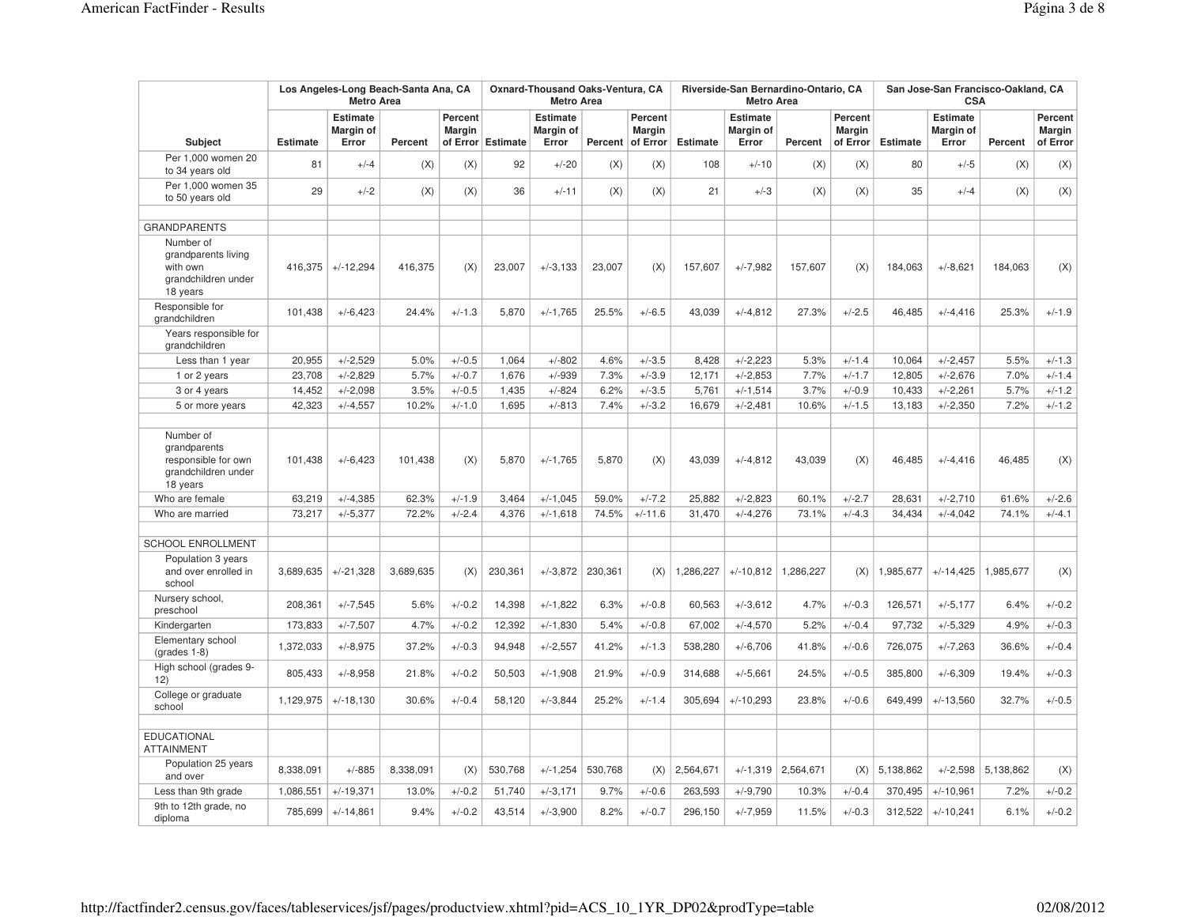|                                                                                     |                 | <b>Metro Area</b>                     | Los Angeles-Long Beach-Santa Ana, CA |                          |                   | Oxnard-Thousand Oaks-Ventura, CA<br><b>Metro Area</b> |         |                                              |                 | Riverside-San Bernardino-Ontario, CA<br><b>Metro Area</b> |           |                                      | San Jose-San Francisco-Oakland, CA<br><b>CSA</b> |                                              |           |                                      |  |
|-------------------------------------------------------------------------------------|-----------------|---------------------------------------|--------------------------------------|--------------------------|-------------------|-------------------------------------------------------|---------|----------------------------------------------|-----------------|-----------------------------------------------------------|-----------|--------------------------------------|--------------------------------------------------|----------------------------------------------|-----------|--------------------------------------|--|
| <b>Subject</b>                                                                      | <b>Estimate</b> | <b>Estimate</b><br>Margin of<br>Error | Percent                              | Percent<br><b>Margin</b> | of Error Estimate | <b>Estimate</b><br>Margin of<br>Error                 |         | Percent<br><b>Margin</b><br>Percent of Error | <b>Estimate</b> | <b>Estimate</b><br>Margin of<br>Error                     | Percent   | Percent<br><b>Margin</b><br>of Error | Estimate                                         | <b>Estimate</b><br><b>Margin of</b><br>Error | Percent   | Percent<br><b>Margin</b><br>of Error |  |
| Per 1,000 women 20<br>to 34 years old                                               | 81              | $+/-4$                                | (X)                                  | (X)                      | 92                | $+/-20$                                               | (X)     | (X)                                          | 108             | $+/-10$                                                   | (X)       | (X)                                  | 80                                               | $+/-5$                                       | (X)       | (X)                                  |  |
| Per 1,000 women 35<br>to 50 years old                                               | 29              | $+/-2$                                | (X)                                  | (X)                      | 36                | $+/-11$                                               | (X)     | (X)                                          | 21              | $+/-3$                                                    | (X)       | (X)                                  | 35                                               | $+/-4$                                       | (X)       | (X)                                  |  |
| <b>GRANDPARENTS</b>                                                                 |                 |                                       |                                      |                          |                   |                                                       |         |                                              |                 |                                                           |           |                                      |                                                  |                                              |           |                                      |  |
| Number of<br>grandparents living<br>with own<br>grandchildren under<br>18 years     | 416.375         | $+/-12,294$                           | 416,375                              | (X)                      | 23.007            | $+/-3.133$                                            | 23.007  | (X)                                          | 157,607         | $+/-7,982$                                                | 157.607   | (X)                                  | 184,063                                          | $+/-8,621$                                   | 184.063   | (X)                                  |  |
| Responsible for<br>grandchildren                                                    | 101,438         | $+/-6,423$                            | 24.4%                                | $+/-1.3$                 | 5,870             | $+/-1,765$                                            | 25.5%   | $+/-6.5$                                     | 43,039          | $+/-4,812$                                                | 27.3%     | $+/-2.5$                             | 46,485                                           | $+/-4,416$                                   | 25.3%     | $+/-1.9$                             |  |
| Years responsible for<br>grandchildren                                              |                 |                                       |                                      |                          |                   |                                                       |         |                                              |                 |                                                           |           |                                      |                                                  |                                              |           |                                      |  |
| Less than 1 year                                                                    | 20,955          | $+/-2,529$                            | 5.0%                                 | $+/-0.5$                 | 1,064             | $+/-802$                                              | 4.6%    | $+/-3.5$                                     | 8,428           | $+/-2,223$                                                | 5.3%      | $+/-1.4$                             | 10,064                                           | $+/-2,457$                                   | 5.5%      | $+/-1.3$                             |  |
| 1 or 2 years                                                                        | 23,708          | $+/-2,829$                            | 5.7%                                 | $+/-0.7$                 | 1,676             | $+/-939$                                              | 7.3%    | $+/-3.9$                                     | 12,171          | $+/-2,853$                                                | 7.7%      | $+/-1.7$                             | 12,805                                           | $+/-2,676$                                   | 7.0%      | $+/-1.4$                             |  |
| 3 or 4 years                                                                        | 14,452          | $+/-2,098$                            | 3.5%                                 | $+/-0.5$                 | 1,435             | $+/-824$                                              | 6.2%    | $+/-3.5$                                     | 5,761           | $+/-1,514$                                                | 3.7%      | $+/-0.9$                             | 10,433                                           | $+/-2,261$                                   | 5.7%      | $+/-1.2$                             |  |
| 5 or more years                                                                     | 42,323          | $+/-4,557$                            | 10.2%                                | $+/-1.0$                 | 1,695             | $+/-813$                                              | 7.4%    | $+/-3.2$                                     | 16,679          | $+/-2,481$                                                | 10.6%     | $+/-1.5$                             | 13,183                                           | $+/-2,350$                                   | 7.2%      | $+/-1.2$                             |  |
| Number of<br>grandparents<br>responsible for own<br>grandchildren under<br>18 years | 101,438         | $+/-6,423$                            | 101,438                              | (X)                      | 5,870             | $+/-1,765$                                            | 5,870   | (X)                                          | 43,039          | $+/-4,812$                                                | 43,039    | (X)                                  | 46,485                                           | $+/-4,416$                                   | 46,485    | (X)                                  |  |
| Who are female                                                                      | 63,219          | $+/-4,385$                            | 62.3%                                | $+/-1.9$                 | 3.464             | $+/-1,045$                                            | 59.0%   | $+/-7.2$                                     | 25,882          | $+/-2,823$                                                | 60.1%     | $+/-2.7$                             | 28,631                                           | $+/-2,710$                                   | 61.6%     | $+/-2.6$                             |  |
| Who are married                                                                     | 73,217          | $+/-5,377$                            | 72.2%                                | $+/-2.4$                 | 4,376             | $+/-1,618$                                            | 74.5%   | $+/-11.6$                                    | 31,470          | $+/-4,276$                                                | 73.1%     | $+/-4.3$                             | 34,434                                           | $+/-4,042$                                   | 74.1%     | $+/-4.1$                             |  |
| SCHOOL ENROLLMENT                                                                   |                 |                                       |                                      |                          |                   |                                                       |         |                                              |                 |                                                           |           |                                      |                                                  |                                              |           |                                      |  |
| Population 3 years<br>and over enrolled in<br>school                                | 3,689,635       | $+/-21,328$                           | 3,689,635                            | (X)                      | 230,361           | $+/-3.872$                                            | 230,361 | (X)                                          | 1,286,227       | $+/-10,812$                                               | 1,286,227 | (X)                                  | 1,985,677                                        | $+/-14,425$                                  | 1,985,677 | (X)                                  |  |
| Nursery school,<br>preschool                                                        | 208,361         | $+/-7,545$                            | 5.6%                                 | $+/-0.2$                 | 14,398            | $+/-1,822$                                            | 6.3%    | $+/-0.8$                                     | 60,563          | $+/-3.612$                                                | 4.7%      | $+/-0.3$                             | 126,571                                          | $+/-5,177$                                   | 6.4%      | $+/-0.2$                             |  |
| Kindergarten                                                                        | 173,833         | $+/-7,507$                            | 4.7%                                 | $+/-0.2$                 | 12,392            | $+/-1,830$                                            | 5.4%    | $+/-0.8$                                     | 67,002          | $+/-4,570$                                                | 5.2%      | $+/-0.4$                             | 97,732                                           | $+/-5,329$                                   | 4.9%      | $+/-0.3$                             |  |
| Elementary school<br>$(grades 1-8)$                                                 | 1,372,033       | $+/-8,975$                            | 37.2%                                | $+/-0.3$                 | 94,948            | $+/-2,557$                                            | 41.2%   | $+/-1.3$                                     | 538,280         | $+/-6,706$                                                | 41.8%     | $+/-0.6$                             | 726,075                                          | $+/-7,263$                                   | 36.6%     | $+/-0.4$                             |  |
| High school (grades 9-<br>12)                                                       | 805,433         | $+/-8,958$                            | 21.8%                                | $+/-0.2$                 | 50,503            | $+/-1,908$                                            | 21.9%   | $+/-0.9$                                     | 314,688         | $+/-5,661$                                                | 24.5%     | $+/-0.5$                             | 385,800                                          | $+/-6,309$                                   | 19.4%     | $+/-0.3$                             |  |
| College or graduate<br>school                                                       | 1,129,975       | $+/-18,130$                           | 30.6%                                | $+/-0.4$                 | 58,120            | $+/-3.844$                                            | 25.2%   | $+/-1.4$                                     | 305,694         | $+/-10,293$                                               | 23.8%     | $+/-0.6$                             | 649,499                                          | $+/-13,560$                                  | 32.7%     | $+/-0.5$                             |  |
| <b>EDUCATIONAL</b><br><b>ATTAINMENT</b>                                             |                 |                                       |                                      |                          |                   |                                                       |         |                                              |                 |                                                           |           |                                      |                                                  |                                              |           |                                      |  |
| Population 25 years<br>and over                                                     | 8,338,091       | $+/-885$                              | 8,338,091                            | (X)                      | 530,768           | $+/-1,254$                                            | 530,768 | (X)                                          | 2,564,671       | $+/-1,319$                                                | 2,564,671 | (X)                                  | 5,138,862                                        | $+/-2,598$                                   | 5,138,862 | (X)                                  |  |
| Less than 9th grade                                                                 | 1,086,551       | $+/-19.371$                           | 13.0%                                | $+/-0.2$                 | 51,740            | $+/-3,171$                                            | 9.7%    | $+/-0.6$                                     | 263,593         | $+/-9,790$                                                | 10.3%     | $+/-0.4$                             | 370,495                                          | $+/-10,961$                                  | 7.2%      | $+/-0.2$                             |  |
| 9th to 12th grade, no<br>diploma                                                    | 785,699         | $+/-14,861$                           | 9.4%                                 | $+/-0.2$                 | 43,514            | $+/-3,900$                                            | 8.2%    | $+/-0.7$                                     | 296,150         | $+/-7,959$                                                | 11.5%     | $+/-0.3$                             | 312,522                                          | $+/-10,241$                                  | 6.1%      | $+/-0.2$                             |  |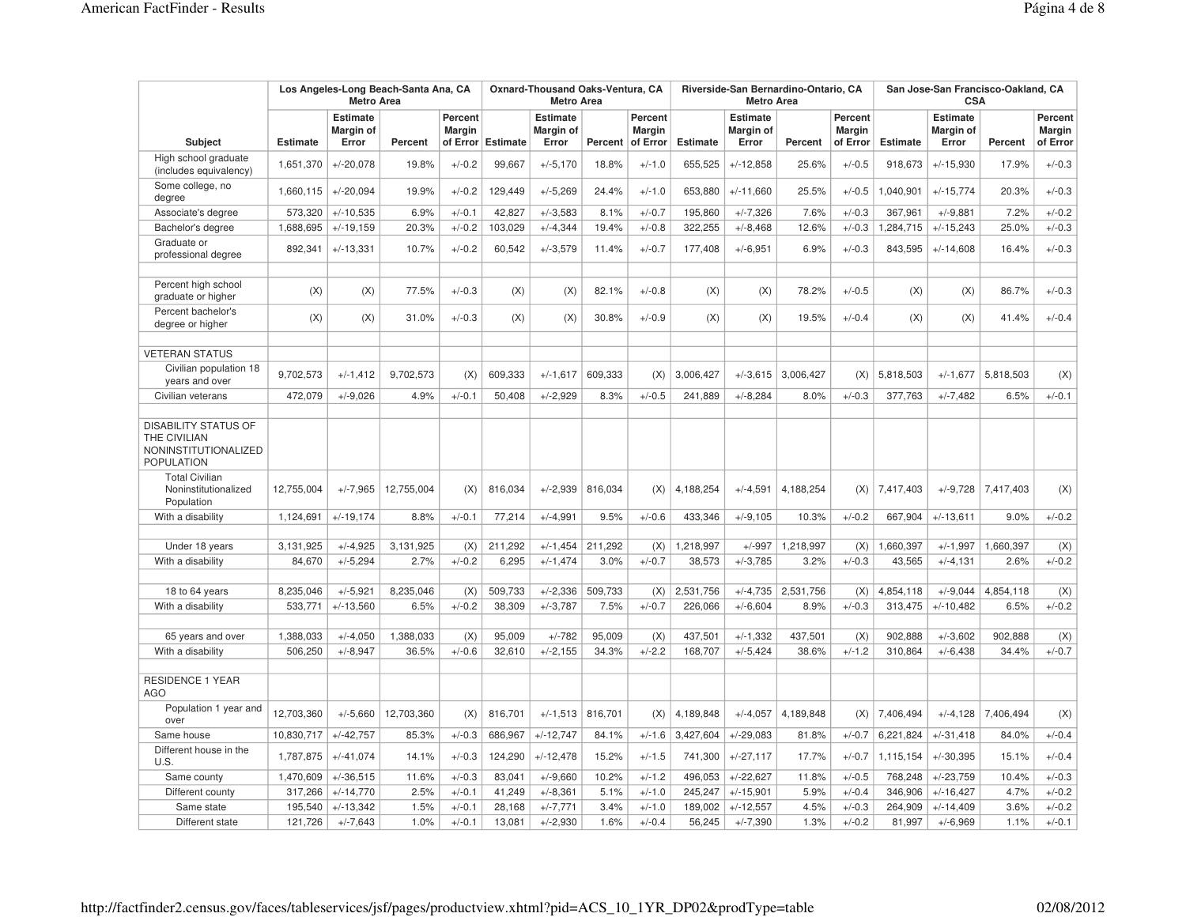|                                                                                          |                 | <b>Metro Area</b>                     | Los Angeles-Long Beach-Santa Ana, CA |                          |                   | Oxnard-Thousand Oaks-Ventura, CA<br><b>Metro Area</b> |         |                                              |                 | Riverside-San Bernardino-Ontario, CA<br><b>Metro Area</b> |                      |                                      | San Jose-San Francisco-Oakland, CA<br><b>CSA</b> |                                       |           |                                      |  |
|------------------------------------------------------------------------------------------|-----------------|---------------------------------------|--------------------------------------|--------------------------|-------------------|-------------------------------------------------------|---------|----------------------------------------------|-----------------|-----------------------------------------------------------|----------------------|--------------------------------------|--------------------------------------------------|---------------------------------------|-----------|--------------------------------------|--|
| Subject                                                                                  | <b>Estimate</b> | <b>Estimate</b><br>Margin of<br>Error | Percent                              | Percent<br><b>Margin</b> | of Error Estimate | <b>Estimate</b><br>Margin of<br>Error                 |         | Percent<br><b>Margin</b><br>Percent of Error | <b>Estimate</b> | <b>Estimate</b><br>Margin of<br>Error                     | Percent              | <b>Percent</b><br>Margin<br>of Error | <b>Estimate</b>                                  | <b>Estimate</b><br>Margin of<br>Error | Percent   | Percent<br><b>Margin</b><br>of Error |  |
| High school graduate<br>(includes equivalency)                                           | 1,651,370       | $+/-20.078$                           | 19.8%                                | $+/-0.2$                 | 99,667            | $+/-5,170$                                            | 18.8%   | $+/-1.0$                                     | 655,525         | $+/-12.858$                                               | 25.6%                | $+/-0.5$                             | 918,673                                          | $+/-15,930$                           | 17.9%     | $+/-0.3$                             |  |
| Some college, no<br>degree                                                               | 1,660,115       | $+/-20,094$                           | 19.9%                                | $+/-0.2$                 | 129,449           | $+/-5,269$                                            | 24.4%   | $+/-1.0$                                     | 653,880         | $+/-11.660$                                               | 25.5%                | $+/-0.5$                             | 1,040,901                                        | $+/-15,774$                           | 20.3%     | $+/-0.3$                             |  |
| Associate's degree                                                                       | 573,320         | $+/-10,535$                           | 6.9%                                 | $+/-0.1$                 | 42,827            | $+/-3,583$                                            | 8.1%    | $+/-0.7$                                     | 195,860         | $+/-7,326$                                                | 7.6%                 | $+/-0.3$                             | 367,961                                          | $+/-9,881$                            | 7.2%      | $+/-0.2$                             |  |
| Bachelor's degree                                                                        | 1,688,695       | $+/-19,159$                           | 20.3%                                | $+/-0.2$                 | 103,029           | $+/-4,344$                                            | 19.4%   | $+/-0.8$                                     | 322,255         | $+/-8,468$                                                | 12.6%                | $+/-0.3$                             | 1,284,715                                        | $+/-15,243$                           | 25.0%     | $+/-0.3$                             |  |
| Graduate or<br>professional degree                                                       | 892,341         | $+/-13,331$                           | 10.7%                                | $+/-0.2$                 | 60,542            | $+/-3,579$                                            | 11.4%   | $+/-0.7$                                     | 177,408         | $+/-6,951$                                                | 6.9%                 | $+/-0.3$                             | 843,595                                          | $+/-14,608$                           | 16.4%     | $+/-0.3$                             |  |
| Percent high school<br>graduate or higher                                                | (X)             | (X)                                   | 77.5%                                | $+/-0.3$                 | (X)               | (X)                                                   | 82.1%   | $+/-0.8$                                     | (X)             | (X)                                                       | 78.2%                | $+/-0.5$                             | (X)                                              | (X)                                   | 86.7%     | $+/-0.3$                             |  |
| Percent bachelor's<br>degree or higher                                                   | (X)             | (X)                                   | 31.0%                                | $+/-0.3$                 | (X)               | (X)                                                   | 30.8%   | $+/-0.9$                                     | (X)             | (X)                                                       | 19.5%                | $+/-0.4$                             | (X)                                              | (X)                                   | 41.4%     | $+/-0.4$                             |  |
| <b>VETERAN STATUS</b>                                                                    |                 |                                       |                                      |                          |                   |                                                       |         |                                              |                 |                                                           |                      |                                      |                                                  |                                       |           |                                      |  |
| Civilian population 18<br>years and over                                                 | 9,702,573       | $+/-1,412$                            | 9,702,573                            | (X)                      | 609,333           | $+/-1,617$                                            | 609,333 | (X)                                          | 3,006,427       | $+/-3.615$                                                | 3,006,427            | (X)                                  | 5,818,503                                        | $+/-1,677$                            | 5,818,503 | (X)                                  |  |
| Civilian veterans                                                                        | 472,079         | $+/-9,026$                            | 4.9%                                 | $+/-0.1$                 | 50,408            | $+/-2,929$                                            | 8.3%    | $+/-0.5$                                     | 241,889         | $+/-8,284$                                                | 8.0%                 | $+/-0.3$                             | 377,763                                          | $+/-7,482$                            | 6.5%      | $+/-0.1$                             |  |
| <b>DISABILITY STATUS OF</b><br>THE CIVILIAN<br>NONINSTITUTIONALIZED<br><b>POPULATION</b> |                 |                                       |                                      |                          |                   |                                                       |         |                                              |                 |                                                           |                      |                                      |                                                  |                                       |           |                                      |  |
| <b>Total Civilian</b><br>Noninstitutionalized<br>Population                              | 12,755,004      | $+/-7,965$                            | 12,755,004                           | (X)                      | 816,034           | $+/-2.939$                                            | 816,034 | (X)                                          | 4,188,254       | $+/-4,591$                                                | 4,188,254            | (X)                                  | 7,417,403                                        | $+/-9,728$                            | 7,417,403 | (X)                                  |  |
| With a disability                                                                        | 1,124,691       | $+/-19,174$                           | 8.8%                                 | $+/-0.1$                 | 77,214            | $+/-4,991$                                            | 9.5%    | $+/-0.6$                                     | 433,346         | $+/-9,105$                                                | 10.3%                | $+/-0.2$                             | 667,904                                          | $+/-13,611$                           | 9.0%      | $+/-0.2$                             |  |
|                                                                                          |                 |                                       |                                      |                          |                   |                                                       |         |                                              |                 |                                                           |                      |                                      |                                                  |                                       |           |                                      |  |
| Under 18 years                                                                           | 3,131,925       | $+/-4,925$                            | 3,131,925                            | (X)                      | 211,292           | $+/-1,454$                                            | 211,292 | (X)                                          | 1,218,997       | $+/-997$                                                  | 1,218,997            | (X)                                  | 1,660,397                                        | $+/-1,997$                            | 1,660,397 | (X)                                  |  |
| With a disability                                                                        | 84,670          | $+/-5,294$                            | 2.7%                                 | $+/-0.2$                 | 6,295             | $+/-1,474$                                            | 3.0%    | $+/-0.7$                                     | 38,573          | $+/-3,785$                                                | 3.2%                 | $+/-0.3$                             | 43,565                                           | $+/-4, 131$                           | 2.6%      | $+/-0.2$                             |  |
| 18 to 64 years                                                                           | 8,235,046       | $+/-5,921$                            | 8,235,046                            | (X)                      | 509,733           | $+/-2,336$                                            | 509,733 | (X)                                          | 2,531,756       |                                                           | $+/-4,735$ 2,531,756 | (X)                                  | 4,854,118                                        | $+/-9,044$                            | 4,854,118 | (X)                                  |  |
| With a disability                                                                        | 533,771         | $+/-13,560$                           | 6.5%                                 | $+/-0.2$                 | 38,309            | $+/-3,787$                                            | 7.5%    | $+/-0.7$                                     | 226,066         | $+/-6,604$                                                | 8.9%                 | $+/-0.3$                             | 313,475                                          | $+/-10,482$                           | 6.5%      | $+/-0.2$                             |  |
|                                                                                          |                 |                                       |                                      |                          |                   |                                                       |         |                                              |                 |                                                           |                      |                                      |                                                  |                                       |           |                                      |  |
| 65 years and over                                                                        | 1,388,033       | $+/-4,050$                            | 1,388,033                            | (X)                      | 95,009            | $+/-782$                                              | 95,009  | (X)                                          | 437,501         | $+/-1,332$                                                | 437,501              | (X)                                  | 902,888                                          | $+/-3,602$                            | 902,888   | (X)                                  |  |
| With a disability                                                                        | 506,250         | $+/-8,947$                            | 36.5%                                | $+/-0.6$                 | 32,610            | $+/-2,155$                                            | 34.3%   | $+/-2.2$                                     | 168,707         | $+/-5,424$                                                | 38.6%                | $+/-1.2$                             | 310,864                                          | $+/-6,438$                            | 34.4%     | $+/-0.7$                             |  |
| <b>RESIDENCE 1 YEAR</b><br>AGO                                                           |                 |                                       |                                      |                          |                   |                                                       |         |                                              |                 |                                                           |                      |                                      |                                                  |                                       |           |                                      |  |
| Population 1 year and<br>over                                                            | 12,703,360      | $+/-5,660$                            | 12,703,360                           | (X)                      | 816,701           | $+/-1,513$                                            | 816,701 | (X)                                          | 4,189,848       | $+/-4,057$                                                | 4,189,848            | (X)                                  | 7,406,494                                        | $+/-4.128$                            | 7,406,494 | (X)                                  |  |
| Same house                                                                               | 10,830,717      | $+/-42,757$                           | 85.3%                                | $+/-0.3$                 | 686,967           | $+/-12,747$                                           | 84.1%   | $+/-1.6$                                     | 3,427,604       | $+/-29,083$                                               | 81.8%                | $+/-0.7$                             | 6,221,824                                        | $+/-31,418$                           | 84.0%     | $+/-0.4$                             |  |
| Different house in the<br>U.S.                                                           | 1,787,875       | $+/-41,074$                           | 14.1%                                | $+/-0.3$                 | 124,290           | $+/-12,478$                                           | 15.2%   | $+/-1.5$                                     | 741,300         | $+/-27,117$                                               | 17.7%                | $+/-0.7$                             | 1,115,154                                        | $+/-30,395$                           | 15.1%     | $+/-0.4$                             |  |
| Same county                                                                              | 1,470,609       | $+/-36,515$                           | 11.6%                                | $+/-0.3$                 | 83,041            | $+/-9,660$                                            | 10.2%   | $+/-1.2$                                     | 496,053         | $+/-22,627$                                               | 11.8%                | $+/-0.5$                             | 768,248                                          | $+/-23,759$                           | 10.4%     | $+/-0.3$                             |  |
| Different county                                                                         | 317,266         | $+/-14,770$                           | 2.5%                                 | $+/-0.1$                 | 41,249            | $+/-8,361$                                            | 5.1%    | $+/-1.0$                                     | 245,247         | $+/-15,901$                                               | 5.9%                 | $+/-0.4$                             | 346,906                                          | $+/-16,427$                           | 4.7%      | $+/-0.2$                             |  |
| Same state                                                                               | 195,540         | $+/-13,342$                           | 1.5%                                 | $+/-0.1$                 | 28,168            | $+/-7,771$                                            | 3.4%    | $+/-1.0$                                     | 189,002         | $+/-12,557$                                               | 4.5%                 | $+/-0.3$                             | 264,909                                          | $+/-14,409$                           | 3.6%      | $+/-0.2$                             |  |
| Different state                                                                          | 121,726         | $+/-7,643$                            | 1.0%                                 | $+/-0.1$                 | 13,081            | $+/-2,930$                                            | 1.6%    | $+/-0.4$                                     | 56,245          | $+/-7,390$                                                | 1.3%                 | $+/-0.2$                             | 81,997                                           | $+/-6,969$                            | 1.1%      | $+/-0.1$                             |  |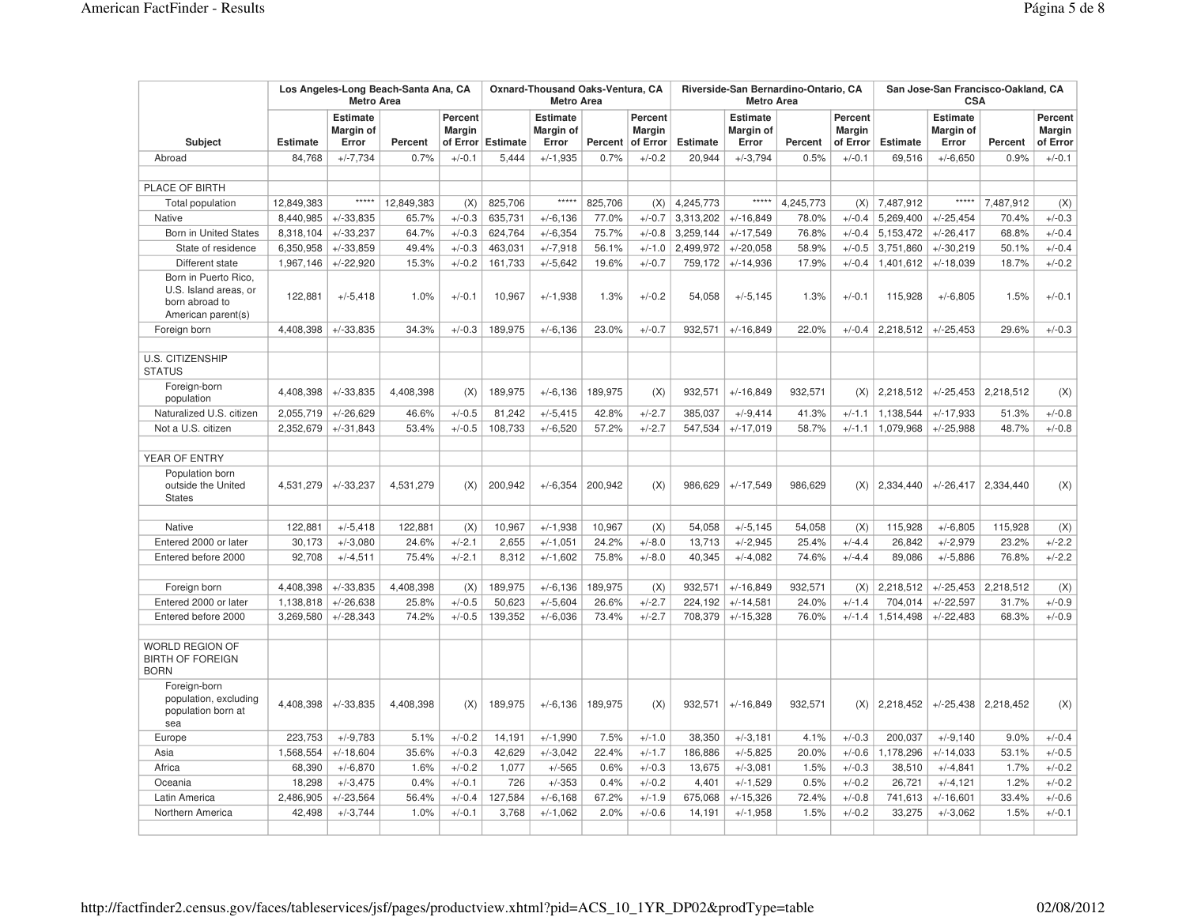|                                                                                       |                 | <b>Metro Area</b>                     | Los Angeles-Long Beach-Santa Ana, CA |                                      |                 | Oxnard-Thousand Oaks-Ventura, CA<br><b>Metro Area</b> |         |                                      |                 | Riverside-San Bernardino-Ontario, CA<br><b>Metro Area</b> |           |                                      | San Jose-San Francisco-Oakland, CA<br><b>CSA</b> |                                       |                       |                                      |  |
|---------------------------------------------------------------------------------------|-----------------|---------------------------------------|--------------------------------------|--------------------------------------|-----------------|-------------------------------------------------------|---------|--------------------------------------|-----------------|-----------------------------------------------------------|-----------|--------------------------------------|--------------------------------------------------|---------------------------------------|-----------------------|--------------------------------------|--|
| Subject                                                                               | <b>Estimate</b> | <b>Estimate</b><br>Margin of<br>Error | Percent                              | Percent<br><b>Margin</b><br>of Error | <b>Estimate</b> | <b>Estimate</b><br>Margin of<br>Error                 | Percent | Percent<br><b>Margin</b><br>of Error | <b>Estimate</b> | <b>Estimate</b><br>Margin of<br>Error                     | Percent   | Percent<br><b>Margin</b><br>of Error | <b>Estimate</b>                                  | <b>Estimate</b><br>Margin of<br>Error | Percent               | Percent<br><b>Margin</b><br>of Error |  |
| Abroad                                                                                | 84,768          | $+/-7,734$                            | 0.7%                                 | $+/-0.1$                             | 5,444           | $+/-1,935$                                            | 0.7%    | $+/-0.2$                             | 20,944          | $+/-3,794$                                                | 0.5%      | $+/-0.1$                             | 69,516                                           | $+/-6,650$                            | 0.9%                  | $+/-0.1$                             |  |
|                                                                                       |                 |                                       |                                      |                                      |                 |                                                       |         |                                      |                 |                                                           |           |                                      |                                                  |                                       |                       |                                      |  |
| PLACE OF BIRTH                                                                        |                 |                                       |                                      |                                      |                 |                                                       |         |                                      |                 |                                                           |           |                                      |                                                  |                                       |                       |                                      |  |
| <b>Total population</b>                                                               | 12,849,383      | $***$ ***                             | 12,849,383                           | (X)                                  | 825,706         | $*****$                                               | 825,706 | (X)                                  | 4,245,773       | $*****$                                                   | 4,245,773 | (X)                                  | 7,487,912                                        | $***$ ***                             | 7,487,912             | (X)                                  |  |
| <b>Native</b>                                                                         | 8,440,985       | $+/-33,835$                           | 65.7%                                | $+/-0.3$                             | 635,731         | $+/-6,136$                                            | 77.0%   | $+/-0.7$                             | 3,313,202       | $+/-16,849$                                               | 78.0%     | $+/-0.4$                             | 5,269,400                                        | $+/-25,454$                           | 70.4%                 | $+/-0.3$                             |  |
| <b>Born in United States</b>                                                          | 8,318,104       | $+/-33,237$                           | 64.7%                                | $+/-0.3$                             | 624,764         | $+/-6.354$                                            | 75.7%   | $+/-0.8$                             | 3,259,144       | $+/-17,549$                                               | 76.8%     | $+/-0.4$                             | 5,153,472                                        | $+/-26,417$                           | 68.8%                 | $+/-0.4$                             |  |
| State of residence                                                                    | 6,350,958       | $+/-33.859$                           | 49.4%                                | $+/-0.3$                             | 463,031         | $+/-7,918$                                            | 56.1%   | $+/-1.0$                             | 2,499,972       | $+/-20.058$                                               | 58.9%     | $+/-0.5$                             | 3,751,860                                        | $+/-30,219$                           | 50.1%                 | $+/-0.4$                             |  |
| Different state                                                                       | 1,967,146       | $+/-22,920$                           | 15.3%                                | $+/-0.2$                             | 161,733         | $+/-5.642$                                            | 19.6%   | $+/-0.7$                             | 759,172         | $+/-14.936$                                               | 17.9%     | $+/-0.4$                             | 1,401,612                                        | $+/-18.039$                           | 18.7%                 | $+/-0.2$                             |  |
| Born in Puerto Rico,<br>U.S. Island areas, or<br>born abroad to<br>American parent(s) | 122,881         | $+/-5,418$                            | 1.0%                                 | $+/-0.1$                             | 10,967          | $+/-1,938$                                            | 1.3%    | $+/-0.2$                             | 54,058          | $+/-5,145$                                                | 1.3%      | $+/-0.1$                             | 115,928                                          | $+/-6,805$                            | 1.5%                  | $+/-0.1$                             |  |
| Foreign born                                                                          | 4,408,398       | $+/-33.835$                           | 34.3%                                | $+/-0.3$                             | 189,975         | $+/-6,136$                                            | 23.0%   | $+/-0.7$                             | 932,571         | $+/-16,849$                                               | 22.0%     | $+/-0.4$                             | 2,218,512                                        | $+/-25,453$                           | 29.6%                 | $+/-0.3$                             |  |
|                                                                                       |                 |                                       |                                      |                                      |                 |                                                       |         |                                      |                 |                                                           |           |                                      |                                                  |                                       |                       |                                      |  |
| <b>U.S. CITIZENSHIP</b><br><b>STATUS</b>                                              |                 |                                       |                                      |                                      |                 |                                                       |         |                                      |                 |                                                           |           |                                      |                                                  |                                       |                       |                                      |  |
| Foreign-born<br>population                                                            | 4,408,398       | $+/-33.835$                           | 4,408,398                            | (X)                                  | 189,975         | $+/-6,136$                                            | 189,975 | (X)                                  | 932,571         | $+/-16.849$                                               | 932,571   | (X)                                  | 2,218,512                                        | $+/-25,453$                           | 2,218,512             | (X)                                  |  |
| Naturalized U.S. citizen                                                              | 2,055,719       | $+/-26,629$                           | 46.6%                                | $+/-0.5$                             | 81,242          | $+/-5,415$                                            | 42.8%   | $+/-2.7$                             | 385,037         | $+/-9.414$                                                | 41.3%     | $+/-1.1$                             | 1,138,544                                        | $+/-17,933$                           | 51.3%                 | $+/-0.8$                             |  |
| Not a U.S. citizen                                                                    | 2,352,679       | $+/-31,843$                           | 53.4%                                | $+/-0.5$                             | 108,733         | $+/-6,520$                                            | 57.2%   | $+/-2.7$                             | 547,534         | $+/-17,019$                                               | 58.7%     | $+/-1.1$                             | 1,079,968                                        | $+/-25.988$                           | 48.7%                 | $+/-0.8$                             |  |
|                                                                                       |                 |                                       |                                      |                                      |                 |                                                       |         |                                      |                 |                                                           |           |                                      |                                                  |                                       |                       |                                      |  |
| YEAR OF ENTRY                                                                         |                 |                                       |                                      |                                      |                 |                                                       |         |                                      |                 |                                                           |           |                                      |                                                  |                                       |                       |                                      |  |
| Population born<br>outside the United<br><b>States</b>                                | 4,531,279       | $+/-33,237$                           | 4,531,279                            | (X)                                  | 200,942         | $+/-6,354$                                            | 200,942 | (X)                                  | 986,629         | $+/-17,549$                                               | 986,629   | (X)                                  | 2,334,440                                        | $+/-26,417$                           | 2,334,440             | (X)                                  |  |
| <b>Native</b>                                                                         | 122,881         | $+/-5,418$                            | 122,881                              | (X)                                  | 10.967          | $+/-1,938$                                            | 10,967  | (X)                                  | 54,058          | $+/-5,145$                                                | 54,058    | (X)                                  | 115,928                                          | $+/-6,805$                            | 115,928               | (X)                                  |  |
| Entered 2000 or later                                                                 | 30,173          | $+/-3.080$                            | 24.6%                                | $+/-2.1$                             | 2.655           | $+/-1.051$                                            | 24.2%   | $+/-8.0$                             | 13,713          | $+/-2.945$                                                | 25.4%     | $+/-4.4$                             | 26.842                                           | $+/-2,979$                            | 23.2%                 | $+/-2.2$                             |  |
| Entered before 2000                                                                   | 92,708          | $+/-4,511$                            | 75.4%                                | $+/-2.1$                             | 8,312           | $+/-1,602$                                            | 75.8%   | $+/-8.0$                             | 40,345          | $+/-4,082$                                                | 74.6%     | $+/-4.4$                             | 89,086                                           | $+/-5,886$                            | 76.8%                 | $+/-2.2$                             |  |
|                                                                                       |                 |                                       |                                      |                                      |                 |                                                       |         |                                      |                 |                                                           |           |                                      |                                                  |                                       |                       |                                      |  |
| Foreign born                                                                          | 4,408,398       | $+/-33,835$                           | 4,408,398                            | (X)                                  | 189,975         | $+/-6,136$                                            | 189,975 | (X)                                  | 932,571         | $+/-16,849$                                               | 932,571   | (X)                                  | 2,218,512                                        |                                       | $+/-25,453$ 2,218,512 | (X)                                  |  |
| Entered 2000 or later                                                                 | 1,138,818       | $+/-26,638$                           | 25.8%                                | $+/-0.5$                             | 50,623          | $+/-5,604$                                            | 26.6%   | $+/-2.7$                             | 224,192         | $+/-14,581$                                               | 24.0%     | $+/-1.4$                             | 704,014                                          | $+/-22,597$                           | 31.7%                 | $+/-0.9$                             |  |
| Entered before 2000                                                                   | 3,269,580       | $+/-28,343$                           | 74.2%                                | $+/-0.5$                             | 139,352         | $+/-6,036$                                            | 73.4%   | $+/-2.7$                             | 708,379         | $+/-15,328$                                               | 76.0%     | $+/-1.4$                             | 1,514,498                                        | $+/-22,483$                           | 68.3%                 | $+/-0.9$                             |  |
|                                                                                       |                 |                                       |                                      |                                      |                 |                                                       |         |                                      |                 |                                                           |           |                                      |                                                  |                                       |                       |                                      |  |
| <b>WORLD REGION OF</b><br><b>BIRTH OF FOREIGN</b><br><b>BORN</b>                      |                 |                                       |                                      |                                      |                 |                                                       |         |                                      |                 |                                                           |           |                                      |                                                  |                                       |                       |                                      |  |
| Foreign-born<br>population, excluding<br>population born at<br>sea                    | 4,408,398       | $+/-33,835$                           | 4,408,398                            | (X)                                  | 189,975         | $+/-6,136$                                            | 189,975 | (X)                                  | 932,571         | $+/-16.849$                                               | 932,571   | (X)                                  | 2,218,452                                        |                                       | $+/-25,438$ 2,218,452 | (X)                                  |  |
| Europe                                                                                | 223,753         | $+/-9.783$                            | 5.1%                                 | $+/-0.2$                             | 14,191          | $+/-1,990$                                            | 7.5%    | $+/-1.0$                             | 38,350          | $+/-3,181$                                                | 4.1%      | $+/-0.3$                             | 200,037                                          | $+/-9,140$                            | 9.0%                  | $+/-0.4$                             |  |
| Asia                                                                                  | 1,568,554       | $+/-18,604$                           | 35.6%                                | $+/-0.3$                             | 42,629          | $+/-3.042$                                            | 22.4%   | $+/-1.7$                             | 186,886         | $+/-5,825$                                                | 20.0%     | $+/-0.6$                             | 1,178,296                                        | $+/-14,033$                           | 53.1%                 | $+/-0.5$                             |  |
| Africa                                                                                | 68,390          | $+/-6,870$                            | 1.6%                                 | $+/-0.2$                             | 1,077           | $+/-565$                                              | 0.6%    | $+/-0.3$                             | 13,675          | $+/-3.081$                                                | 1.5%      | $+/-0.3$                             | 38,510                                           | $+/-4,841$                            | 1.7%                  | $+/-0.2$                             |  |
| Oceania                                                                               | 18,298          | $+/-3,475$                            | 0.4%                                 | $+/-0.1$                             | 726             | $+/-353$                                              | 0.4%    | $+/-0.2$                             | 4,401           | $+/-1,529$                                                | 0.5%      | $+/-0.2$                             | 26,721                                           | $+/-4, 121$                           | 1.2%                  | $+/-0.2$                             |  |
| Latin America                                                                         | 2,486,905       | $+/-23,564$                           | 56.4%                                | $+/-0.4$                             | 127,584         | $+/-6,168$                                            | 67.2%   | $+/-1.9$                             | 675,068         | $+/-15,326$                                               | 72.4%     | $+/-0.8$                             | 741,613                                          | $+/-16,601$                           | 33.4%                 | $+/-0.6$                             |  |
| Northern America                                                                      | 42,498          | $+/-3,744$                            | 1.0%                                 | $+/-0.1$                             | 3,768           | $+/-1,062$                                            | 2.0%    | $+/-0.6$                             | 14,191          | $+/-1,958$                                                | 1.5%      | $+/-0.2$                             | 33,275                                           | $+/-3,062$                            | 1.5%                  | $+/-0.1$                             |  |
|                                                                                       |                 |                                       |                                      |                                      |                 |                                                       |         |                                      |                 |                                                           |           |                                      |                                                  |                                       |                       |                                      |  |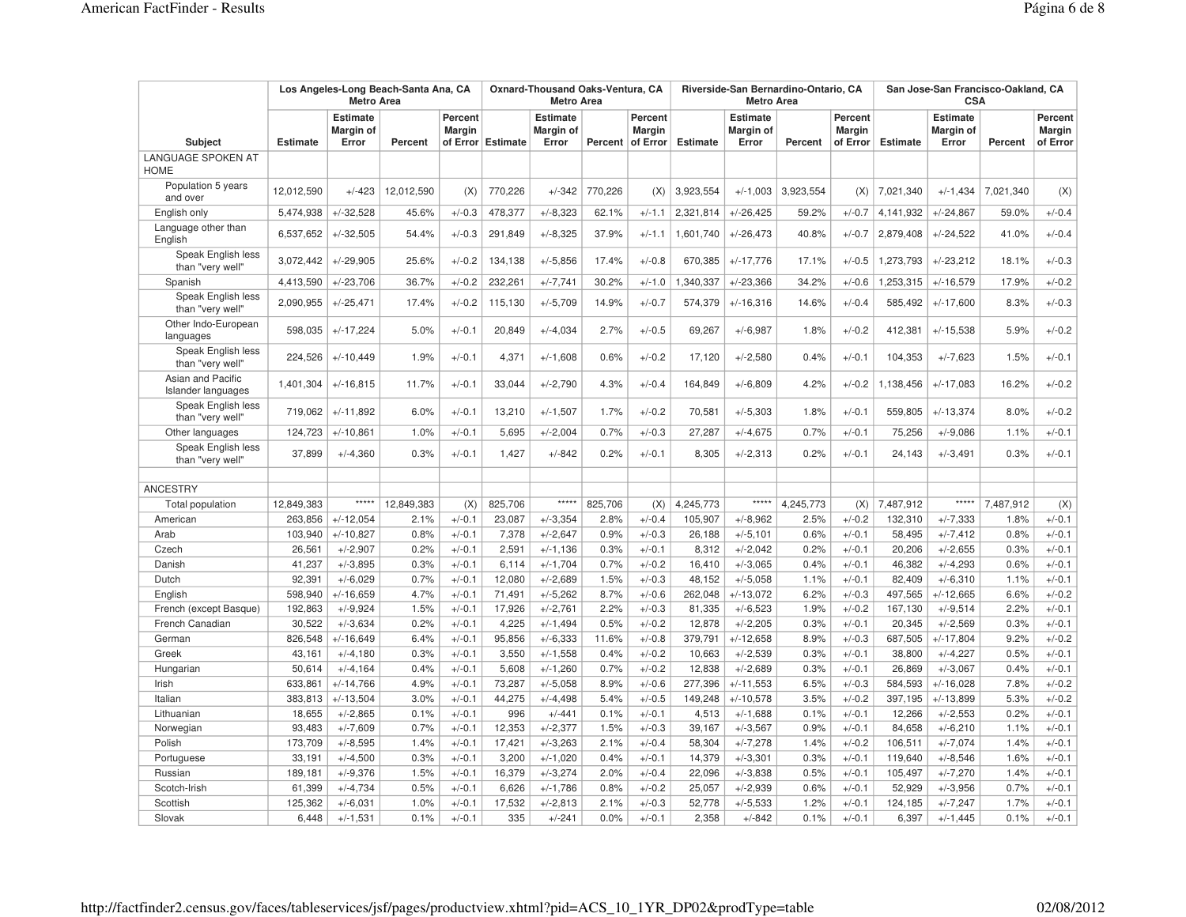|                                          | Los Angeles-Long Beach-Santa Ana, CA |                                       | Oxnard-Thousand Oaks-Ventura, CA<br><b>Metro Area</b> |                          |                   |                                       | Riverside-San Bernardino-Ontario, CA<br><b>Metro Area</b> |                                      |                 | San Jose-San Francisco-Oakland, CA<br><b>CSA</b> |           |                                      |                 |                                              |           |                                      |
|------------------------------------------|--------------------------------------|---------------------------------------|-------------------------------------------------------|--------------------------|-------------------|---------------------------------------|-----------------------------------------------------------|--------------------------------------|-----------------|--------------------------------------------------|-----------|--------------------------------------|-----------------|----------------------------------------------|-----------|--------------------------------------|
| <b>Subject</b>                           | <b>Estimate</b>                      | <b>Estimate</b><br>Margin of<br>Error | Percent                                               | Percent<br><b>Margin</b> | of Error Estimate | <b>Estimate</b><br>Margin of<br>Error | Percent                                                   | Percent<br><b>Margin</b><br>of Error | <b>Estimate</b> | <b>Estimate</b><br><b>Margin of</b><br>Error     | Percent   | Percent<br><b>Margin</b><br>of Error | <b>Estimate</b> | <b>Estimate</b><br><b>Margin of</b><br>Error | Percent   | Percent<br><b>Margin</b><br>of Error |
| <b>LANGUAGE SPOKEN AT</b><br><b>HOME</b> |                                      |                                       |                                                       |                          |                   |                                       |                                                           |                                      |                 |                                                  |           |                                      |                 |                                              |           |                                      |
| Population 5 years<br>and over           | 12,012,590                           | $+/-423$                              | 12,012,590                                            | (X)                      | 770,226           | $+/-342$                              | 770,226                                                   | (X)                                  | 3,923,554       | $+/-1,003$                                       | 3,923,554 | (X)                                  | 7,021,340       | $+/-1,434$                                   | 7,021,340 | (X)                                  |
| English only                             | 5,474,938                            | $+/-32.528$                           | 45.6%                                                 | $+/-0.3$                 | 478,377           | $+/-8,323$                            | 62.1%                                                     | $+/-1.1$                             | 2,321,814       | $+/-26,425$                                      | 59.2%     | $+/-0.7$                             | 4,141,932       | $+/-24.867$                                  | 59.0%     | $+/-0.4$                             |
| Language other than<br>English           | 6,537,652                            | $+/-32,505$                           | 54.4%                                                 | $+/-0.3$                 | 291,849           | $+/-8,325$                            | 37.9%                                                     | $+/-1.1$                             | 1,601,740       | $+/-26,473$                                      | 40.8%     | $+/-0.7$                             | 2,879,408       | $+/-24,522$                                  | 41.0%     | $+/-0.4$                             |
| Speak English less<br>than "very well"   | 3,072,442                            | $+/-29.905$                           | 25.6%                                                 | $+/-0.2$                 | 134,138           | $+/-5.856$                            | 17.4%                                                     | $+/-0.8$                             | 670,385         | $+/-17,776$                                      | 17.1%     | $+/-0.5$                             | 1,273,793       | $+/-23,212$                                  | 18.1%     | $+/-0.3$                             |
| Spanish                                  | 4,413,590                            | $+/-23,706$                           | 36.7%                                                 | $+/-0.2$                 | 232,261           | $+/-7,741$                            | 30.2%                                                     | $+/-1.0$                             | 1,340,337       | $+/-23,366$                                      | 34.2%     | $+/-0.6$                             | 1,253,315       | $+/-16,579$                                  | 17.9%     | $+/-0.2$                             |
| Speak English less<br>than "very well"   | 2,090,955                            | $+/-25,471$                           | 17.4%                                                 | $+/-0.2$                 | 115,130           | $+/-5,709$                            | 14.9%                                                     | $+/-0.7$                             | 574,379         | $+/-16,316$                                      | 14.6%     | $+/-0.4$                             | 585,492         | $+/-17,600$                                  | 8.3%      | $+/-0.3$                             |
| Other Indo-European<br>languages         | 598,035                              | $+/-17,224$                           | 5.0%                                                  | $+/-0.1$                 | 20,849            | $+/-4,034$                            | 2.7%                                                      | $+/-0.5$                             | 69,267          | $+/-6.987$                                       | 1.8%      | $+/-0.2$                             | 412,381         | $+/-15,538$                                  | 5.9%      | $+/-0.2$                             |
| Speak English less<br>than "very well"   | 224,526                              | $+/-10,449$                           | 1.9%                                                  | $+/-0.1$                 | 4,371             | $+/-1,608$                            | 0.6%                                                      | $+/-0.2$                             | 17,120          | $+/-2,580$                                       | 0.4%      | $+/-0.1$                             | 104,353         | $+/-7,623$                                   | 1.5%      | $+/-0.1$                             |
| Asian and Pacific<br>Islander languages  | 1,401,304                            | $+/-16,815$                           | 11.7%                                                 | $+/-0.1$                 | 33.044            | $+/-2,790$                            | 4.3%                                                      | $+/-0.4$                             | 164,849         | $+/-6,809$                                       | 4.2%      | $+/-0.2$                             | 1,138,456       | $+/-17,083$                                  | 16.2%     | $+/-0.2$                             |
| Speak English less<br>than "very well"   | 719,062                              | $+/-11,892$                           | 6.0%                                                  | $+/-0.1$                 | 13.210            | $+/-1.507$                            | 1.7%                                                      | $+/-0.2$                             | 70,581          | $+/-5,303$                                       | 1.8%      | $+/-0.1$                             | 559,805         | $+/-13,374$                                  | 8.0%      | $+/-0.2$                             |
| Other languages                          | 124,723                              | $+/-10,861$                           | 1.0%                                                  | $+/-0.1$                 | 5,695             | $+/-2,004$                            | 0.7%                                                      | $+/-0.3$                             | 27,287          | $+/-4,675$                                       | 0.7%      | $+/-0.1$                             | 75,256          | $+/-9,086$                                   | 1.1%      | $+/-0.1$                             |
| Speak English less<br>than "very well"   | 37,899                               | $+/-4,360$                            | 0.3%                                                  | $+/-0.1$                 | 1,427             | $+/-842$                              | 0.2%                                                      | $+/-0.1$                             | 8,305           | $+/-2,313$                                       | 0.2%      | $+/-0.1$                             | 24,143          | $+/-3,491$                                   | 0.3%      | $+/-0.1$                             |
| <b>ANCESTRY</b>                          |                                      |                                       |                                                       |                          |                   |                                       |                                                           |                                      |                 |                                                  |           |                                      |                 |                                              |           |                                      |
| Total population                         | 12,849,383                           | *****                                 | 12,849,383                                            | (X)                      | 825,706           | *****                                 | 825,706                                                   | (X)                                  | 4,245,773       | $***$                                            | 4,245,773 | (X)                                  | 7,487,912       | *****                                        | 7,487,912 | (X)                                  |
| American                                 | 263,856                              | $+/-12,054$                           | 2.1%                                                  | $+/-0.1$                 | 23,087            | $+/-3.354$                            | 2.8%                                                      | $+/-0.4$                             | 105,907         | $+/-8.962$                                       | 2.5%      | $+/-0.2$                             | 132,310         | $+/-7,333$                                   | 1.8%      | $+/-0.1$                             |
| Arab                                     | 103,940                              | $+/-10,827$                           | 0.8%                                                  | $+/-0.1$                 | 7,378             | $+/-2,647$                            | 0.9%                                                      | $+/-0.3$                             | 26,188          | $+/-5,101$                                       | 0.6%      | $+/-0.1$                             | 58,495          | $+/-7,412$                                   | 0.8%      | $+/-0.1$                             |
| Czech                                    | 26,561                               | $+/-2,907$                            | 0.2%                                                  | $+/-0.1$                 | 2.591             | $+/-1.136$                            | 0.3%                                                      | $+/-0.1$                             | 8,312           | $+/-2,042$                                       | 0.2%      | $+/-0.1$                             | 20,206          | $+/-2,655$                                   | 0.3%      | $+/-0.1$                             |
| Danish                                   | 41,237                               | $+/-3.895$                            | 0.3%                                                  | $+/-0.1$                 | 6,114             | $+/-1,704$                            | 0.7%                                                      | $+/-0.2$                             | 16,410          | $+/-3,065$                                       | 0.4%      | $+/-0.1$                             | 46,382          | $+/-4,293$                                   | 0.6%      | $+/-0.1$                             |
| Dutch                                    | 92,391                               | $+/-6,029$                            | 0.7%                                                  | $+/-0.1$                 | 12,080            | $+/-2,689$                            | 1.5%                                                      | $+/-0.3$                             | 48,152          | $+/-5,058$                                       | 1.1%      | $+/-0.1$                             | 82,409          | $+/-6,310$                                   | 1.1%      | $+/-0.1$                             |
| English                                  | 598,940                              | $+/-16,659$                           | 4.7%                                                  | $+/-0.1$                 | 71,491            | $+/-5,262$                            | 8.7%                                                      | $+/-0.6$                             | 262,048         | $+/-13,072$                                      | 6.2%      | $+/-0.3$                             | 497,565         | $+/-12,665$                                  | 6.6%      | $+/-0.2$                             |
| French (except Basque)                   | 192,863                              | $+/-9.924$                            | 1.5%                                                  | $+/-0.1$                 | 17,926            | $+/-2,761$                            | 2.2%                                                      | $+/-0.3$                             | 81,335          | $+/-6,523$                                       | 1.9%      | $+/-0.2$                             | 167,130         | $+/-9.514$                                   | 2.2%      | $+/-0.1$                             |
| French Canadian                          | 30,522                               | $+/-3,634$                            | 0.2%                                                  | $+/-0.1$                 | 4,225             | $+/-1,494$                            | 0.5%                                                      | $+/-0.2$                             | 12,878          | $+/-2,205$                                       | 0.3%      | $+/-0.1$                             | 20,345          | $+/-2,569$                                   | 0.3%      | $+/-0.1$                             |
| German                                   | 826,548                              | $+/-16,649$                           | 6.4%                                                  | $+/-0.1$                 | 95,856            | $+/-6,333$                            | 11.6%                                                     | $+/-0.8$                             | 379,791         | $+/-12,658$                                      | 8.9%      | $+/-0.3$                             | 687,505         | $+/-17,804$                                  | 9.2%      | $+/-0.2$                             |
| Greek                                    | 43,161                               | $+/-4,180$                            | 0.3%                                                  | $+/-0.1$                 | 3,550             | $+/-1,558$                            | 0.4%                                                      | $+/-0.2$                             | 10,663          | $+/-2.539$                                       | 0.3%      | $+/-0.1$                             | 38,800          | $+/-4,227$                                   | 0.5%      | $+/-0.1$                             |
| Hungarian                                | 50,614                               | $+/-4,164$                            | 0.4%                                                  | $+/-0.1$                 | 5,608             | $+/-1,260$                            | 0.7%                                                      | $+/-0.2$                             | 12,838          | $+/-2,689$                                       | 0.3%      | $+/-0.1$                             | 26,869          | $+/-3,067$                                   | 0.4%      | $+/-0.1$                             |
| Irish                                    | 633,861                              | $+/-14,766$                           | 4.9%                                                  | $+/-0.1$                 | 73,287            | $+/-5,058$                            | 8.9%                                                      | $+/-0.6$                             | 277,396         | $+/-11,553$                                      | 6.5%      | $+/-0.3$                             | 584,593         | $+/-16,028$                                  | 7.8%      | $+/-0.2$                             |
| Italian                                  | 383,813                              | $+/-13,504$                           | 3.0%                                                  | $+/-0.1$                 | 44,275            | $+/-4,498$                            | 5.4%                                                      | $+/-0.5$                             | 149,248         | $+/-10,578$                                      | 3.5%      | $+/-0.2$                             | 397,195         | $+/-13,899$                                  | 5.3%      | $+/-0.2$                             |
| Lithuanian                               | 18,655                               | $+/-2,865$                            | 0.1%                                                  | $+/-0.1$                 | 996               | $+/-441$                              | 0.1%                                                      | $+/-0.1$                             | 4,513           | $+/-1,688$                                       | 0.1%      | $+/-0.1$                             | 12,266          | $+/-2,553$                                   | 0.2%      | $+/-0.1$                             |
| Norwegian                                | 93,483                               | $+/-7,609$                            | 0.7%                                                  | $+/-0.1$                 | 12,353            | $+/-2.377$                            | 1.5%                                                      | $+/-0.3$                             | 39,167          | $+/-3,567$                                       | 0.9%      | $+/-0.1$                             | 84,658          | $+/-6,210$                                   | 1.1%      | $+/-0.1$                             |
| Polish                                   | 173,709                              | $+/-8,595$                            | 1.4%                                                  | $+/-0.1$                 | 17,421            | $+/-3,263$                            | 2.1%                                                      | $+/-0.4$                             | 58,304          | $+/-7,278$                                       | 1.4%      | $+/-0.2$                             | 106,511         | $+/-7,074$                                   | 1.4%      | $+/-0.1$                             |
| Portuguese                               | 33,191                               | $+/-4,500$                            | 0.3%                                                  | $+/-0.1$                 | 3,200             | $+/-1,020$                            | 0.4%                                                      | $+/-0.1$                             | 14,379          | $+/-3,301$                                       | 0.3%      | $+/-0.1$                             | 119,640         | $+/-8,546$                                   | 1.6%      | $+/-0.1$                             |
| Russian                                  | 189,181                              | $+/-9,376$                            | 1.5%                                                  | $+/-0.1$                 | 16,379            | $+/-3,274$                            | 2.0%                                                      | $+/-0.4$                             | 22,096          | $+/-3,838$                                       | 0.5%      | $+/-0.1$                             | 105,497         | $+/-7,270$                                   | 1.4%      | $+/-0.1$                             |
| Scotch-Irish                             | 61,399                               | $+/-4,734$                            | 0.5%                                                  | $+/-0.1$                 | 6,626             | $+/-1,786$                            | 0.8%                                                      | $+/-0.2$                             | 25,057          | $+/-2,939$                                       | 0.6%      | $+/-0.1$                             | 52,929          | $+/-3,956$                                   | 0.7%      | $+/-0.1$                             |
| Scottish                                 | 125,362                              | $+/-6,031$                            | 1.0%                                                  | $+/-0.1$                 | 17,532<br>335     | $+/-2,813$                            | 2.1%                                                      | $+/-0.3$                             | 52,778          | $+/-5,533$                                       | 1.2%      | $+/-0.1$                             | 124,185         | $+/-7,247$                                   | 1.7%      | $+/-0.1$                             |
| Slovak                                   | 6,448                                | $+/-1,531$                            | 0.1%                                                  | $+/-0.1$                 |                   | $+/-241$                              | 0.0%                                                      | $+/-0.1$                             | 2,358           | $+/-842$                                         | 0.1%      | $+/-0.1$                             | 6,397           | $+/-1,445$                                   | 0.1%      | $+/-0.1$                             |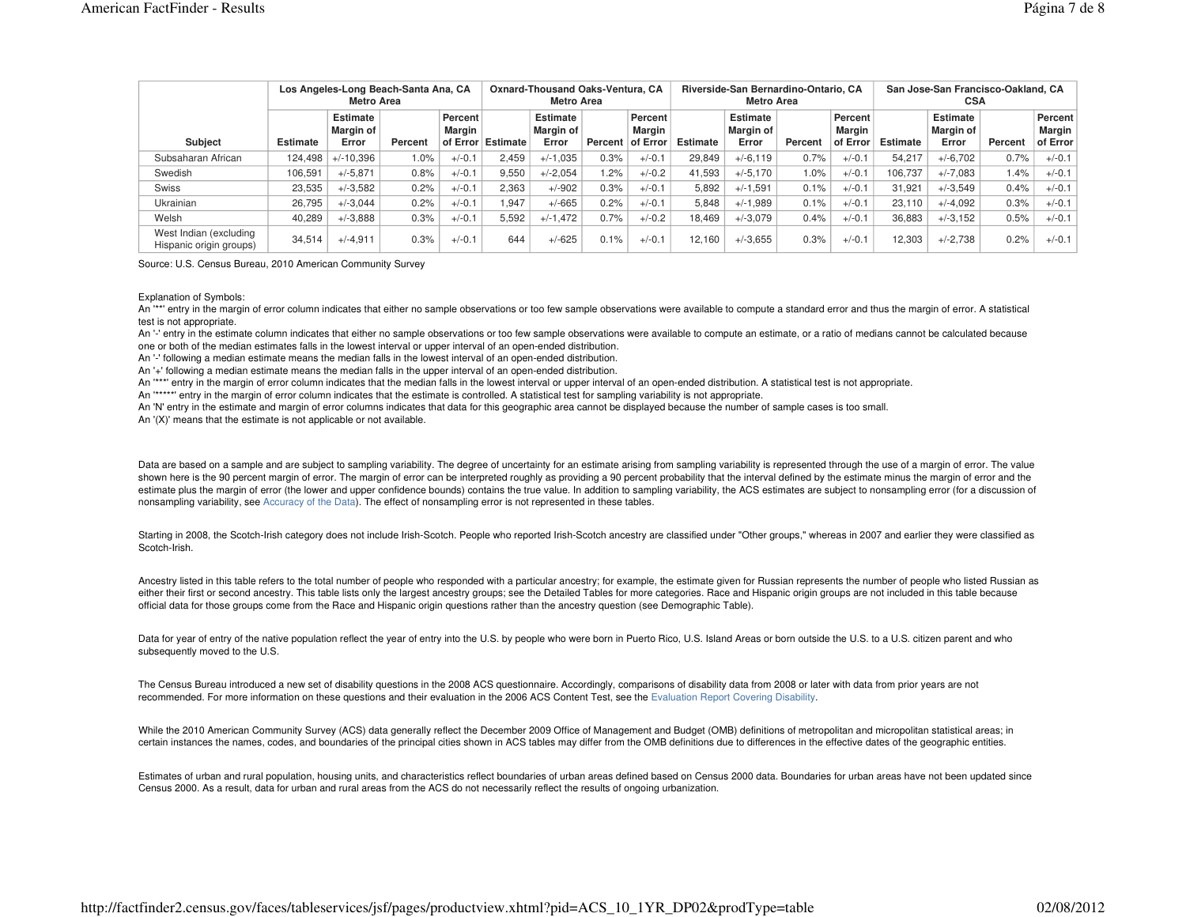|                                                   | Los Angeles-Long Beach-Santa Ana, CA<br>Metro Area |                                |         |                                 |                   |                                       |                  | <b>Oxnard-Thousand Oaks-Ventura, CA</b> |          | Riverside-San Bernardino-Ontario, CA<br><b>Metro Area</b> |         |                               | San Jose-San Francisco-Oakland, CA<br><b>CSA</b> |                                |         |                                      |  |
|---------------------------------------------------|----------------------------------------------------|--------------------------------|---------|---------------------------------|-------------------|---------------------------------------|------------------|-----------------------------------------|----------|-----------------------------------------------------------|---------|-------------------------------|--------------------------------------------------|--------------------------------|---------|--------------------------------------|--|
| Subject                                           | <b>Estimate</b>                                    | Estimate<br>Margin of<br>Error | Percent | <b>Percent</b><br><b>Margin</b> | of Error Estimate | <b>Estimate</b><br>Margin of<br>Error | Percent of Error | Percent<br><b>Margin</b>                | Estimate | Estimate<br><b>Margin of</b><br>Error                     | Percent | Percent<br>Marɑin<br>of Error | Estimate                                         | Estimate<br>Margin of<br>Error | Percent | Percent<br><b>Margin</b><br>of Error |  |
| Subsaharan African                                | 124.498                                            | $+/-10.396$                    | 1.0%    | $+/-0.1$                        | 2.459             | $+/-1.035$                            | 0.3%             | $+/-0.1$                                | 29.849   | $+/-6,119$                                                | 0.7%    | $+/-0.1$                      | 54.217                                           | $+/-6,702$                     | 0.7%    | $+/-0.1$                             |  |
| Swedish                                           | 106.591                                            | $+/-5.871$                     | 0.8%    | $+/-0.1$                        | 9.550             | $+/-2.054$                            | 1.2%             | $+/-0.2$                                | 41.593   | $+/-5.170$                                                | 1.0%    | $+/-0.1$                      | 106.737                                          | $+/-7.083$                     | 1.4%    | $+/-0.1$                             |  |
| Swiss                                             | 23,535                                             | $+/-3.582$                     | 0.2%    | $+/-0.1$                        | 2.363             | $+/-902$                              | 0.3%             | $+/-0.1$                                | 5.892    | $+/-1.591$                                                | 0.1%    | $+/-0.1$                      | 31.921                                           | $+/-3.549$                     | 0.4%    | $+/-0.1$                             |  |
| Ukrainian                                         | 26.795                                             | $+/-3.044$                     | 0.2%    | $+/-0.1$                        | 1.947             | $+/-665$                              | 0.2%             | $+/-0.1$                                | 5.848    | $+/-1.989$                                                | 0.1%    | $+/-0.1$                      | 23.110                                           | $+/-4.092$                     | 0.3%    | $+/-0.1$                             |  |
| Welsh                                             | 40.289                                             | $+/-3.888$                     | 0.3%    | $+/-0.1$                        | 5,592             | $+/-1,472$                            | 0.7%             | $+/-0.2$                                | 18.469   | $+/-3.079$                                                | 0.4%    | $+/-0.1$                      | 36.883                                           | $+/-3.152$                     | 0.5%    | $+/-0.1$                             |  |
| West Indian (excluding<br>Hispanic origin groups) | 34.514                                             | $+/-4.911$                     | 0.3%    | $+/-0.1$                        | 644               | $+/-625$                              | 0.1%             | $+/-0.1$                                | 12.160   | $+/-3.655$                                                | 0.3%    | $+/-0.1$                      | 12.303                                           | $+/-2.738$                     | 0.2%    | $+/-0.1$                             |  |

Source: U.S. Census Bureau, 2010 American Community Survey

Explanation of Symbols:

An "\*" entry in the margin of error column indicates that either no sample observations or too few sample observations were available to compute a standard error and thus the margin of error. A statistical test is not appropriate.

An '-' entry in the estimate column indicates that either no sample observations or too few sample observations were available to compute an estimate, or a ratio of medians cannot be calculated because one or both of the median estimates falls in the lowest interval or upper interval of an open-ended distribution.

An '-' following a median estimate means the median falls in the lowest interval of an open-ended distribution.

An '+' following a median estimate means the median falls in the upper interval of an open-ended distribution.

An '\*\*\*' entry in the margin of error column indicates that the median falls in the lowest interval or upper interval of an open-ended distribution. A statistical test is not appropriate.

An '\*\*\*\*\*' entry in the margin of error column indicates that the estimate is controlled. A statistical test for sampling variability is not appropriate.

An 'N' entry in the estimate and margin of error columns indicates that data for this geographic area cannot be displayed because the number of sample cases is too small.

An '(X)' means that the estimate is not applicable or not available.

Data are based on a sample and are subject to sampling variability. The degree of uncertainty for an estimate arising from sampling variability is represented through the use of a margin of error. The value shown here is the 90 percent margin of error. The margin of error can be interpreted roughly as providing a 90 percent probability that the interval defined by the estimate minus the margin of error and the estimate plus the margin of error (the lower and upper confidence bounds) contains the true value. In addition to sampling variability, the ACS estimates are subject to nonsampling error (for a discussion of nonsampling variability, see Accuracy of the Data). The effect of nonsampling error is not represented in these tables.

Starting in 2008, the Scotch-Irish category does not include Irish-Scotch. People who reported Irish-Scotch ancestry are classified under "Other groups," whereas in 2007 and earlier they were classified as Scotch-Irish.

Ancestry listed in this table refers to the total number of people who responded with a particular ancestry; for example, the estimate given for Russian represents the number of people who listed Russian as either their first or second ancestry. This table lists only the largest ancestry groups; see the Detailed Tables for more categories. Race and Hispanic origin groups are not included in this table because official data for those groups come from the Race and Hispanic origin questions rather than the ancestry question (see Demographic Table).

Data for year of entry of the native population reflect the year of entry into the U.S. by people who were born in Puerto Rico, U.S. Island Areas or born outside the U.S. to a U.S. citizen parent and who subsequently moved to the U.S.

The Census Bureau introduced a new set of disability questions in the 2008 ACS questionnaire. Accordingly, comparisons of disability data from 2008 or later with data from prior years are not recommended. For more information on these questions and their evaluation in the 2006 ACS Content Test, see the Evaluation Report Covering Disability.

While the 2010 American Community Survey (ACS) data generally reflect the December 2009 Office of Management and Budget (OMB) definitions of metropolitan and micropolitan statistical areas; in certain instances the names, codes, and boundaries of the principal cities shown in ACS tables may differ from the OMB definitions due to differences in the effective dates of the geographic entities.

Estimates of urban and rural population, housing units, and characteristics reflect boundaries of urban areas defined based on Census 2000 data. Boundaries for urban areas have not been updated since Census 2000. As a result, data for urban and rural areas from the ACS do not necessarily reflect the results of ongoing urbanization.